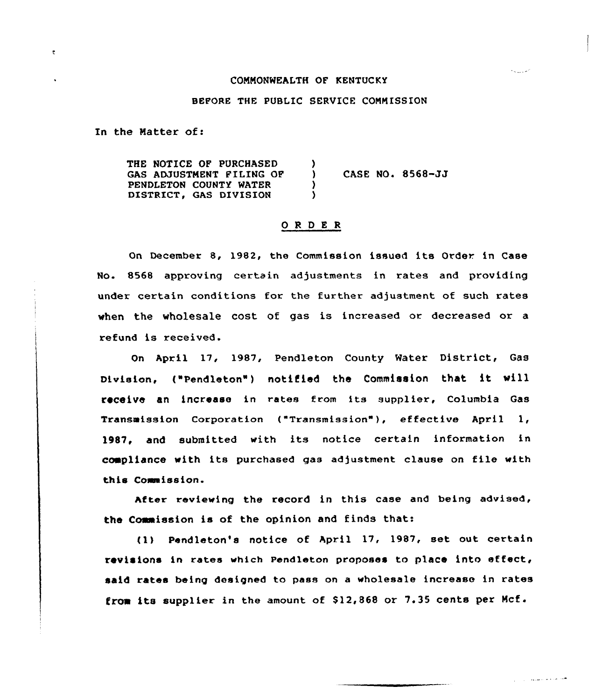#### CONNONWEALTH OF KENTUCKY

المواردة والمراد

هيدماء والمستقر الرزاراني

#### BEFORE THE PUBLIC SERVICE CONNISSION

In the Natter of:

 $\ddot{\mathbf{z}}$ 

THE NOTICE OP PURCHASED GAS ADJUSTNENT FILING OF PENDLETON COUNTY WATER DISTRICT, GAS DIVISION ) ) CASE NO. 8568-JJ ) )

## ORDER

On December 8, 1982, the Commission issued its Order in Case No. 8568 approving certain adjustments in rates and providing under certain conditions for the further adjustment of such rates when the wholesale cost of gas is increased or decreased or a refund is received.

On April 17, 1987, Pendleton County Water District, Gas Division, ("Pendleton") notified the Commission that it will receive an increase in ~ates from its supplier, Columbia Gas Transmission Corporation ("Transmission"), effective April 1, 1987, and submitted with its notice certain information in compliance with its purchased gas adjustment clause on file with this Commission.

After reviewing the record in this case and being advised, the Commission is of the opinion and finds that:

tl) Pend1eton's notice of April 17, 1987, set out certain revisions in rates which Pendleton proposes to place into effect, said rates being designed to pass on <sup>a</sup> wholesale increase in rates from its supplier in the amount of  $$12,868$  or 7.35 cents per Mcf.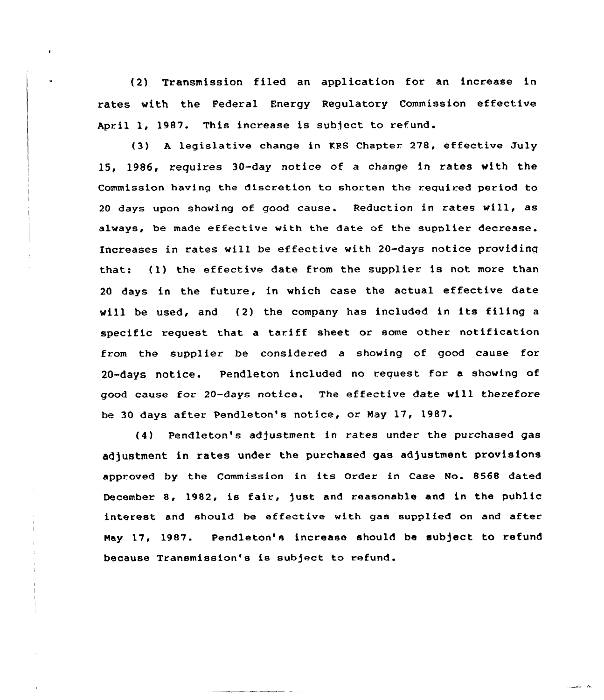(2) Transmission filed an application for an increase in rates with the Federal Energy Regulatory Commission effective April 1, 1987. This increase is subject to refund.

(3) <sup>A</sup> legislative change in KRS Chapter 278, effective July 15, 1986, requires 30-day notice of a change in rates with the Commission having the discretion to shorten the required period to <sup>20</sup> days upon shoving of good cause. Reduction in rates vill, as always, be made effective with the date of the supplier decrease. Increases in rates vill be effective with 20-days notice providinq that: (1) the effective date from the supplier is not more than <sup>20</sup> days in the future, in which case the actual effective date vill be used, and (2) the company has included in its filing <sup>a</sup> specific request that <sup>a</sup> tariff sheet or some other notification from the supplier be considered a shoving of good cause for 20-days notice. Pendleton included no reauest for a showing of good cause for 20-days notice. The effective date vill therefore be 30 days after Pendleton's notice, or May 17, 1987.

(4) Pendleton's adjustment in rates under the purchased gas adjustment in rates under the purchased gas adjustment provisions approved by the Commission in its Order in Case No. 8568 dated December 8, 1982, is fair, just and reasonable and in the public interest and should be effective with gas supplied on and after Hay 17, 1987. Pendleton's increase should be subject to refund because Transmission's is subject to refund.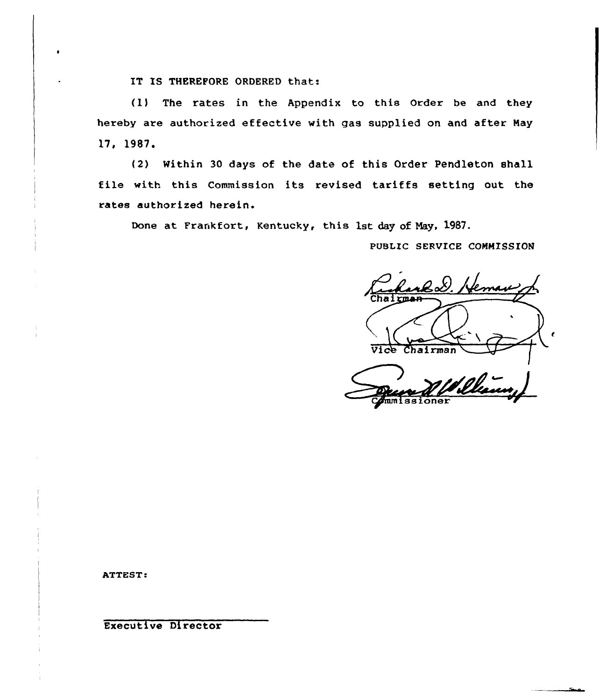IT IS THEREFORE ORDERED that:

(1) The rates in the Appendix to this Order be and they hereby are authorized effective with gas supplied on and after Nay 17, 1987.

(2) Within 30 days of the date of this Order Pendleton shall file with this Commission its revised tariffs setting out the rates authorized herein.

Done at Frankfort, Kentucky, this 1st day of Hay, 1987.

PUBLIC SERVICE CONHISSION

2S. Hema hairmar Vice Chairman Ullin stone

ATTEST.

Executive Director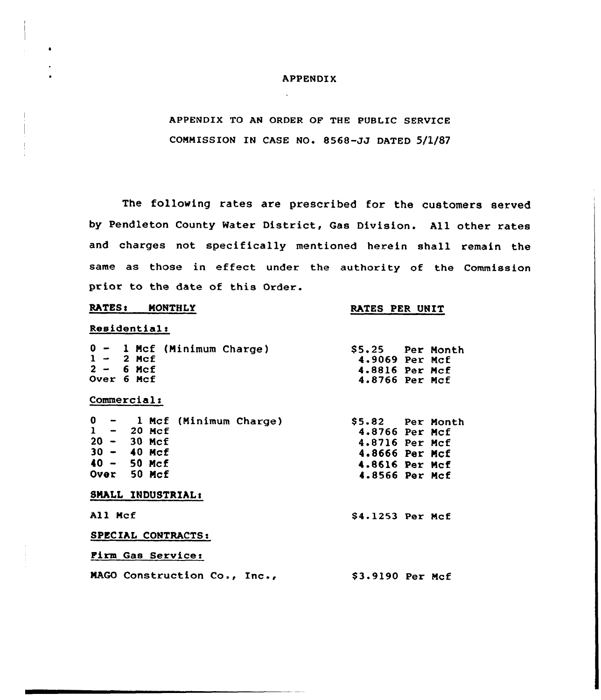### APPENDIX

APPENDIX TO AN ORDER OF THE PUBLIC SERVICE COMMISSION IN CASE NO. 8568-JJ DATED 5/1/87

The following rates are prescribed for the customers served by Pendleton County Water District, Gas Division. All other rates and charges not specifically mentioned herein shall remain the same as those in effect under the authority of the Commission prior to the date of this Order.

## RATES: MONTHLY

## RATES PER UNIT

## Residential:

| $0 - 1$ Mcf (Minimum Charge)<br>$1 - 2$ Mcf<br>$2 - 6$ Mcf<br>Over 6 Mcf<br>Commercial:                        |                  | \$5.25 Per Month<br>4.9069 Per Mcf<br>4.8816 Per Mcf<br>4.8766 Per Mcf                                     |
|----------------------------------------------------------------------------------------------------------------|------------------|------------------------------------------------------------------------------------------------------------|
| $0 - 1$ Mcf (Minimum Charge)<br>$1 - 20$ Mcf<br>$20 - 30$ Mcf<br>$30 - 40$ Mcf<br>$40 - 50$ Mcf<br>Over 50 Mcf |                  | \$5.82 Per Month<br>4.8766 Per Mcf<br>4.8716 Per Mcf<br>4.8666 Per Mcf<br>4.8616 Per Mcf<br>4.8566 Per Mcf |
| SMALL INDUSTRIAL:<br>All Mcf<br>SPECIAL CONTRACTS:                                                             | \$4.1253 Per Mcf |                                                                                                            |
| Firm Gas Service:<br>MAGO Construction Co., Inc.,                                                              | \$3.9190 Per Mcf |                                                                                                            |